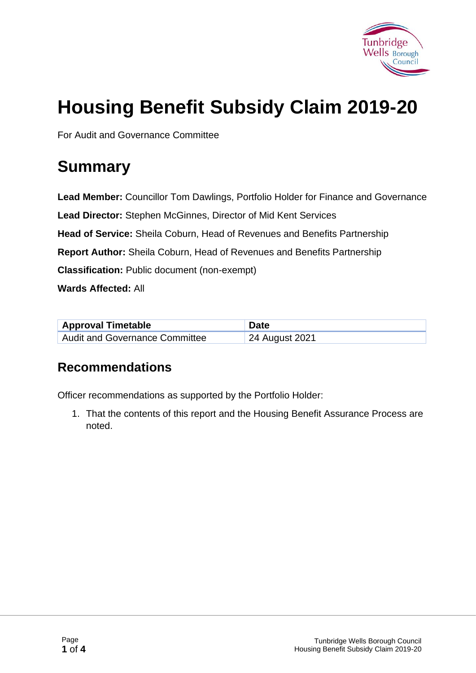

# **Housing Benefit Subsidy Claim 2019-20**

For Audit and Governance Committee

# **Summary**

**Lead Member:** Councillor Tom Dawlings, Portfolio Holder for Finance and Governance **Lead Director:** Stephen McGinnes, Director of Mid Kent Services **Head of Service:** Sheila Coburn, Head of Revenues and Benefits Partnership **Report Author:** Sheila Coburn, Head of Revenues and Benefits Partnership **Classification:** Public document (non-exempt) **Wards Affected:** All

| <b>Approval Timetable</b>      | <b>Date</b>    |
|--------------------------------|----------------|
| Audit and Governance Committee | 24 August 2021 |

#### **Recommendations**

Officer recommendations as supported by the Portfolio Holder:

1. That the contents of this report and the Housing Benefit Assurance Process are noted.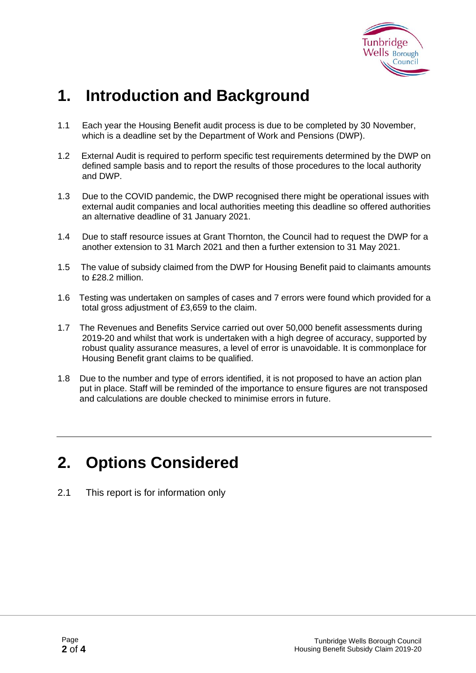

# **1. Introduction and Background**

- 1.1 Each year the Housing Benefit audit process is due to be completed by 30 November, which is a deadline set by the Department of Work and Pensions (DWP).
- 1.2 External Audit is required to perform specific test requirements determined by the DWP on defined sample basis and to report the results of those procedures to the local authority and DWP.
- 1.3 Due to the COVID pandemic, the DWP recognised there might be operational issues with external audit companies and local authorities meeting this deadline so offered authorities an alternative deadline of 31 January 2021.
- 1.4 Due to staff resource issues at Grant Thornton, the Council had to request the DWP for a another extension to 31 March 2021 and then a further extension to 31 May 2021.
- 1.5 The value of subsidy claimed from the DWP for Housing Benefit paid to claimants amounts to £28.2 million.
- 1.6 Testing was undertaken on samples of cases and 7 errors were found which provided for a total gross adjustment of £3,659 to the claim.
- 1.7 The Revenues and Benefits Service carried out over 50,000 benefit assessments during 2019-20 and whilst that work is undertaken with a high degree of accuracy, supported by robust quality assurance measures, a level of error is unavoidable. It is commonplace for Housing Benefit grant claims to be qualified.
- 1.8 Due to the number and type of errors identified, it is not proposed to have an action plan put in place. Staff will be reminded of the importance to ensure figures are not transposed and calculations are double checked to minimise errors in future.

# **2. Options Considered**

2.1 This report is for information only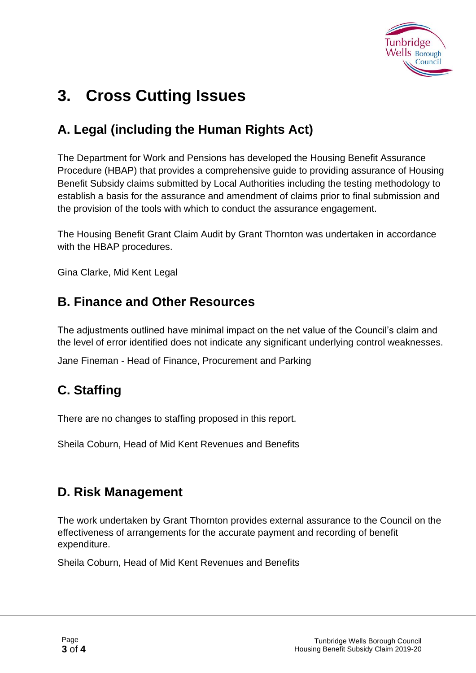

# **3. Cross Cutting Issues**

### **A. Legal (including the Human Rights Act)**

The Department for Work and Pensions has developed the Housing Benefit Assurance Procedure (HBAP) that provides a comprehensive guide to providing assurance of Housing Benefit Subsidy claims submitted by Local Authorities including the testing methodology to establish a basis for the assurance and amendment of claims prior to final submission and the provision of the tools with which to conduct the assurance engagement.

The Housing Benefit Grant Claim Audit by Grant Thornton was undertaken in accordance with the HBAP procedures.

Gina Clarke, Mid Kent Legal

#### **B. Finance and Other Resources**

The adjustments outlined have minimal impact on the net value of the Council's claim and the level of error identified does not indicate any significant underlying control weaknesses.

Jane Fineman - Head of Finance, Procurement and Parking

### **C. Staffing**

There are no changes to staffing proposed in this report.

Sheila Coburn, Head of Mid Kent Revenues and Benefits

#### **D. Risk Management**

The work undertaken by Grant Thornton provides external assurance to the Council on the effectiveness of arrangements for the accurate payment and recording of benefit expenditure.

Sheila Coburn, Head of Mid Kent Revenues and Benefits